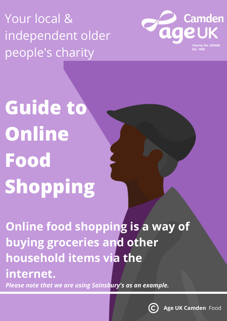Your local & independent older people's charity



**Guide to Online Food Shopping**

**Online food shopping is a way of buying groceries and other household items via the internet.**

*Please note that we are using Sainsbury's as an example.*

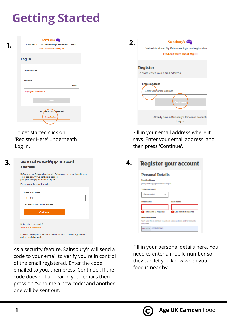## **Getting Started**

| 1 | Sainsbury's Cap<br>We've introduced My ID to make login and registration easier.<br>Find out more about My ID | 2. |         |
|---|---------------------------------------------------------------------------------------------------------------|----|---------|
|   | Log in                                                                                                        |    |         |
|   | <b>Email address</b>                                                                                          |    | R<br>To |
|   | <b>Password</b><br><b>Show</b>                                                                                |    |         |
|   | <b>Forgot your password?</b><br>Log tn                                                                        |    |         |
|   | New to Sainsbury's Groceries?<br><b>Register here</b>                                                         |    |         |

To get started click on 'Register Here' underneath Log in.

| 3<br>We need to verify your email<br>address                                                                                                                                                    |  |
|-------------------------------------------------------------------------------------------------------------------------------------------------------------------------------------------------|--|
| Before you can finish registering with Sainsbury's, we need to verify your<br>email address. We've sent you a code to<br>jake.preston@ageukcamden.org.uk.<br>Please enter the code to continue. |  |
| <b>Enter your code</b><br>389420                                                                                                                                                                |  |
| This code is valid for 10 minutes.<br><b>Continue</b>                                                                                                                                           |  |
| Not received your code?<br>Send me a new code<br>Is this the wrong email address? To register with a new email, you can                                                                         |  |

go back and start again.

As a security feature, Sainsbury's will send a code to your email to verify you're in control of the email registered. Enter the code emailed to you, then press 'Continue'. If the code does not appear in your emails then press on 'Send me a new code' and another one will be sent out.

| Sainsbury's <b>Contact</b><br>We've introduced My ID to make login and registration<br>Find out more about My ID |  |
|------------------------------------------------------------------------------------------------------------------|--|
| <b>Register</b><br>To start, enter your email address                                                            |  |
| <b>Email address</b><br>Enter your email address<br>Continue                                                     |  |
| Already have a Sainsbury's Groceries account?<br>Log in                                                          |  |
| ----<br>.                                                                                                        |  |

Fill in your email address where it says 'Enter your email address' and then press 'Continue'.

## **Register your account**

| <b>Personal Details</b>                                                         |                       |  |  |  |  |
|---------------------------------------------------------------------------------|-----------------------|--|--|--|--|
| <b>Email address</b>                                                            |                       |  |  |  |  |
| jake.preston@ageukcamden.org.uk                                                 |                       |  |  |  |  |
| Title (optional)                                                                |                       |  |  |  |  |
| Please select                                                                   |                       |  |  |  |  |
| <b>First name</b>                                                               | Lastname              |  |  |  |  |
|                                                                                 |                       |  |  |  |  |
| <b>B</b> Finst name is regulred                                                 | Last name is required |  |  |  |  |
| Mobile number                                                                   |                       |  |  |  |  |
| We'll use this to contact you about order updates and for security<br>рыгровах. |                       |  |  |  |  |
| NBs +44 - 07771705665                                                           |                       |  |  |  |  |

Fill in your personal details here. You need to enter a mobile number so they can let you know when your food is near by.

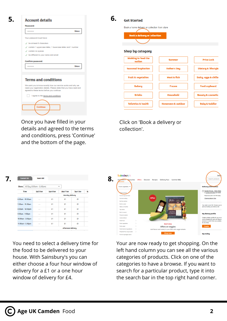| <b>Account details</b>                                                                                            |  |
|-------------------------------------------------------------------------------------------------------------------|--|
| Password                                                                                                          |  |
| Show<br>                                                                                                          |  |
| Your password must have:                                                                                          |  |
| J be at least 8 characters.                                                                                       |  |
| contain 1 uppercase letter, 1 lowercase letter and 1 number<br>s                                                  |  |
| contain no spaces<br>s                                                                                            |  |
| / be different to your name and email                                                                             |  |
| <b>Terms and conditions</b>                                                                                       |  |
| We want you to know exactly how our service works and why we                                                      |  |
| need your registration details. Please state that you have read and<br>agreed to these terms before you continue. |  |
| Lagree to the terms and conditions.                                                                               |  |
|                                                                                                                   |  |
| Continual                                                                                                         |  |
|                                                                                                                   |  |

Once you have filled in your details and agreed to the terms and conditions, press 'Continue' and the bottom of the page.

| Get Started                                                                           |                               |                                |  |
|---------------------------------------------------------------------------------------|-------------------------------|--------------------------------|--|
| Book a home delivery or collection from store<br><b>Book a delivery or collection</b> |                               |                                |  |
|                                                                                       |                               |                                |  |
| <b>Shop by category</b>                                                               |                               |                                |  |
| <b>Working to feed the</b><br>nation                                                  | <b>Summer</b>                 | <b>Price Lock</b>              |  |
| <b>Seasonal inspiration</b>                                                           | <b>Father's Day</b>           | <b>Dietary &amp; lifestyle</b> |  |
| <b>Fruit &amp; vegetables</b>                                                         | <b>Meat &amp; fish</b>        | Dairy, eggs & chille           |  |
| <b>Bakery</b>                                                                         | <b>Frozen</b>                 | <b>Food cupboard</b>           |  |
| <b>Drinks</b>                                                                         | <b>Household</b>              | <b>Beauty &amp; cosmetics</b>  |  |
| <b>Toiletries &amp; health</b>                                                        | <b>Homeware &amp; outdoor</b> | <b>Baby &amp; toddler</b>      |  |

Click on 'Book a delivery or collection'.

| <b>Standard slot</b> | <b>Saver slot</b>                                                                                                                                                                                                                                                                                                                                                                                                                                                          |           |                           |           |   |
|----------------------|----------------------------------------------------------------------------------------------------------------------------------------------------------------------------------------------------------------------------------------------------------------------------------------------------------------------------------------------------------------------------------------------------------------------------------------------------------------------------|-----------|---------------------------|-----------|---|
| Show:                | All Day (6:00am - 11:00pm)                                                                                                                                                                                                                                                                                                                                                                                                                                                 |           | ۰                         |           |   |
| Time                 | Sat 5 Jun                                                                                                                                                                                                                                                                                                                                                                                                                                                                  | Sun 6 Jun | Mon 7 Jun                 | Tue 8 Jun | W |
|                      |                                                                                                                                                                                                                                                                                                                                                                                                                                                                            |           | <b>Morning delivery</b>   |           |   |
| 6:00am - 10:00am     | -                                                                                                                                                                                                                                                                                                                                                                                                                                                                          | £1        | £1                        | £1        |   |
| 7:00am - 11:00am     | -                                                                                                                                                                                                                                                                                                                                                                                                                                                                          | £1        | £1                        | £1        |   |
| 8:00am - 12:00pm     | $\frac{1}{2} \left( \frac{1}{2} \right) \left( \frac{1}{2} \right) \left( \frac{1}{2} \right) \left( \frac{1}{2} \right)$                                                                                                                                                                                                                                                                                                                                                  | £1        | £1                        | £1        |   |
| 9:00am - 1:00pm      | $\frac{1}{2} \left( \frac{1}{2} \right) \left( \frac{1}{2} \right) \left( \frac{1}{2} \right) \left( \frac{1}{2} \right)$                                                                                                                                                                                                                                                                                                                                                  | £1        | £1                        | £1        |   |
| 10:00am - 2:00pm     | $\frac{1}{2} \left( \frac{1}{2} \right) \left( \frac{1}{2} \right) \left( \frac{1}{2} \right) \left( \frac{1}{2} \right) \left( \frac{1}{2} \right) \left( \frac{1}{2} \right) \left( \frac{1}{2} \right) \left( \frac{1}{2} \right) \left( \frac{1}{2} \right) \left( \frac{1}{2} \right) \left( \frac{1}{2} \right) \left( \frac{1}{2} \right) \left( \frac{1}{2} \right) \left( \frac{1}{2} \right) \left( \frac{1}{2} \right) \left( \frac{1}{2} \right) \left( \frac$ | £1        | £1                        | £1        |   |
| 11:00am - 3:00pm     | $\sim$                                                                                                                                                                                                                                                                                                                                                                                                                                                                     | £1        | £1                        | £1        |   |
|                      |                                                                                                                                                                                                                                                                                                                                                                                                                                                                            |           | <b>Afternoon delivery</b> |           |   |

You need to select a delivery time for the food to be delivered to your house. With Sainsbury's you can either choose a four hour window of delivery for a £1 or a one hour window of delivery for £4.



Your are now ready to get shopping. On the left hand column you can see all the various categories of products. Click on one of the categories to have a browse. If you want to search for a particular product, type it into the search bar in the top right hand corner.